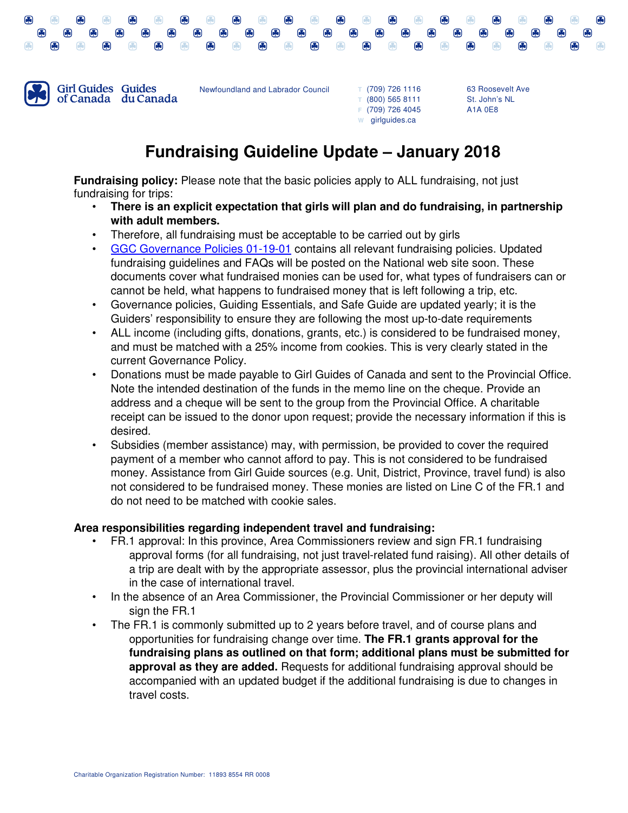



Newfoundland and Labrador Council

**T** (709) 726 1116 **T** (800) 565 8111 **F** (709) 726 4045 **W** girlguides.ca

63 Roosevelt Ave St. John's NL A1A 0E8

## **Fundraising Guideline Update – January 2018**

**Fundraising policy:** Please note that the basic policies apply to ALL fundraising, not just fundraising for trips:

- **There is an explicit expectation that girls will plan and do fundraising, in partnership with adult members.**
- Therefore, all fundraising must be acceptable to be carried out by girls
- GGC Governance Policies 01-19-01 contains all relevant fundraising policies. Updated fundraising guidelines and FAQs will be posted on the National web site soon. These documents cover what fundraised monies can be used for, what types of fundraisers can or cannot be held, what happens to fundraised money that is left following a trip, etc.
- Governance policies, Guiding Essentials, and Safe Guide are updated yearly; it is the Guiders' responsibility to ensure they are following the most up-to-date requirements
- ALL income (including gifts, donations, grants, etc.) is considered to be fundraised money, and must be matched with a 25% income from cookies. This is very clearly stated in the current Governance Policy.
- Donations must be made payable to Girl Guides of Canada and sent to the Provincial Office. Note the intended destination of the funds in the memo line on the cheque. Provide an address and a cheque will be sent to the group from the Provincial Office. A charitable receipt can be issued to the donor upon request; provide the necessary information if this is desired.
- Subsidies (member assistance) may, with permission, be provided to cover the required payment of a member who cannot afford to pay. This is not considered to be fundraised money. Assistance from Girl Guide sources (e.g. Unit, District, Province, travel fund) is also not considered to be fundraised money. These monies are listed on Line C of the FR.1 and do not need to be matched with cookie sales.

## **Area responsibilities regarding independent travel and fundraising:**

- FR.1 approval: In this province, Area Commissioners review and sign FR.1 fundraising approval forms (for all fundraising, not just travel-related fund raising). All other details of a trip are dealt with by the appropriate assessor, plus the provincial international adviser in the case of international travel.
- In the absence of an Area Commissioner, the Provincial Commissioner or her deputy will sign the FR.1
- The FR.1 is commonly submitted up to 2 years before travel, and of course plans and opportunities for fundraising change over time. **The FR.1 grants approval for the fundraising plans as outlined on that form; additional plans must be submitted for approval as they are added.** Requests for additional fundraising approval should be accompanied with an updated budget if the additional fundraising is due to changes in travel costs.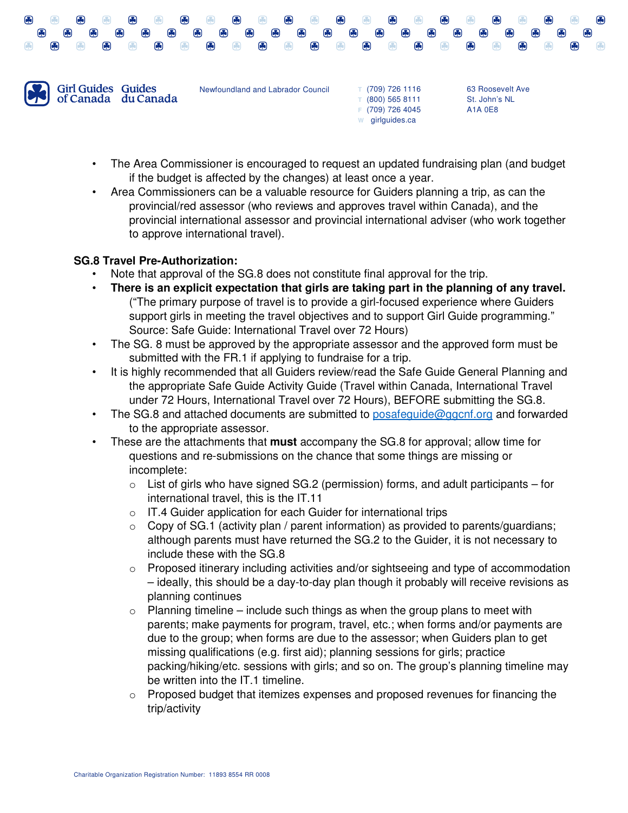

• The Area Commissioner is encouraged to request an updated fundraising plan (and budget if the budget is affected by the changes) at least once a year.

**W** girlguides.ca

• Area Commissioners can be a valuable resource for Guiders planning a trip, as can the provincial/red assessor (who reviews and approves travel within Canada), and the provincial international assessor and provincial international adviser (who work together to approve international travel).

## **SG.8 Travel Pre-Authorization:**

- Note that approval of the SG.8 does not constitute final approval for the trip.
- **There is an explicit expectation that girls are taking part in the planning of any travel.** ("The primary purpose of travel is to provide a girl-focused experience where Guiders support girls in meeting the travel objectives and to support Girl Guide programming." Source: Safe Guide: International Travel over 72 Hours)
- The SG. 8 must be approved by the appropriate assessor and the approved form must be submitted with the FR.1 if applying to fundraise for a trip.
- It is highly recommended that all Guiders review/read the Safe Guide General Planning and the appropriate Safe Guide Activity Guide (Travel within Canada, International Travel under 72 Hours, International Travel over 72 Hours), BEFORE submitting the SG.8.
- The SG.8 and attached documents are submitted to posafeguide@ggcnf.org and forwarded to the appropriate assessor.
- These are the attachments that **must** accompany the SG.8 for approval; allow time for questions and re-submissions on the chance that some things are missing or incomplete:
	- $\circ$  List of girls who have signed SG.2 (permission) forms, and adult participants for international travel, this is the IT.11
	- $\circ$  IT.4 Guider application for each Guider for international trips
	- o Copy of SG.1 (activity plan / parent information) as provided to parents/guardians; although parents must have returned the SG.2 to the Guider, it is not necessary to include these with the SG.8
	- $\circ$  Proposed itinerary including activities and/or sightseeing and type of accommodation – ideally, this should be a day-to-day plan though it probably will receive revisions as planning continues
	- $\circ$  Planning timeline include such things as when the group plans to meet with parents; make payments for program, travel, etc.; when forms and/or payments are due to the group; when forms are due to the assessor; when Guiders plan to get missing qualifications (e.g. first aid); planning sessions for girls; practice packing/hiking/etc. sessions with girls; and so on. The group's planning timeline may be written into the IT.1 timeline.
	- $\circ$  Proposed budget that itemizes expenses and proposed revenues for financing the trip/activity